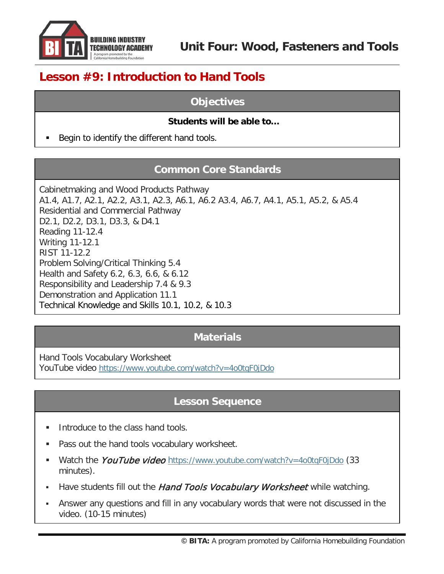

# **Lesson #9: Introduction to Hand Tools**

## **Objectives**

## **Students will be able to…**

Begin to identify the different hand tools.

## **Common Core Standards**

Cabinetmaking and Wood Products Pathway A1.4, A1.7, A2.1, A2.2, A3.1, A2.3, A6.1, A6.2 A3.4, A6.7, A4.1, A5.1, A5.2, & A5.4 Residential and Commercial Pathway D2.1, D2.2, D3.1, D3.3, & D4.1 Reading 11-12.4 Writing 11-12.1 RIST 11-12.2 Problem Solving/Critical Thinking 5.4 Health and Safety 6.2, 6.3, 6.6, & 6.12 Responsibility and Leadership 7.4 & 9.3 Demonstration and Application 11.1 Technical Knowledge and Skills 10.1, 10.2, & 10.3

## **Materials**

Hand Tools Vocabulary Worksheet YouTube video<https://www.youtube.com/watch?v=4o0tqF0jDdo>

## **Lesson Sequence**

- Introduce to the class hand tools.
- **Pass out the hand tools vocabulary worksheet.**
- Watch the *YouTube video* <https://www.youtube.com/watch?v=4o0tqF0jDdo> (33 minutes).
- Have students fill out the Hand Tools Vocabulary Worksheet while watching.
- Answer any questions and fill in any vocabulary words that were not discussed in the video. (10-15 minutes)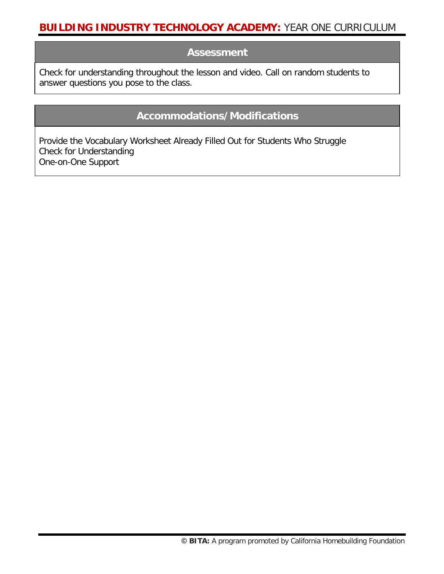## **Assessment**

Check for understanding throughout the lesson and video. Call on random students to answer questions you pose to the class.

## **Accommodations/Modifications**

Provide the Vocabulary Worksheet Already Filled Out for Students Who Struggle Check for Understanding One-on-One Support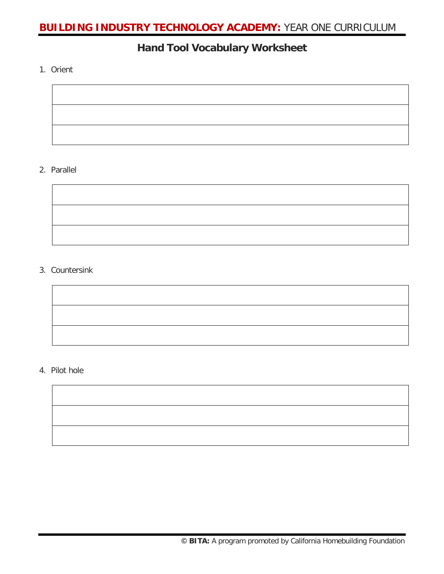## **Hand Tool Vocabulary Worksheet**

1. Orient



### 2. Parallel

## 3. Countersink

### 4. Pilot hole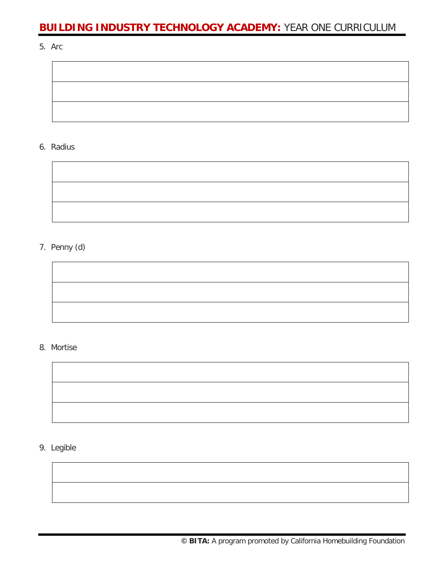5. Arc



#### 6. Radius



## 7. Penny (d)



#### 8. Mortise



9. Legible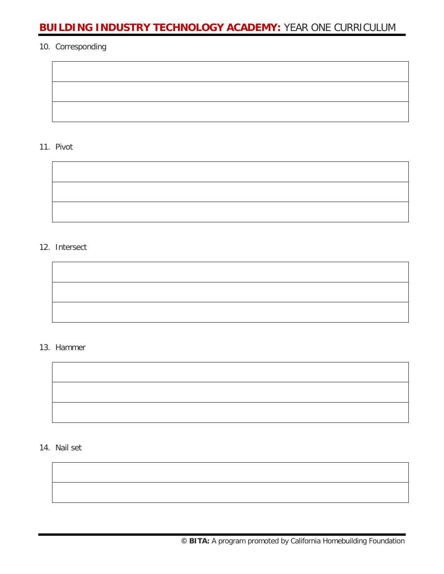#### 10. Corresponding

11. Pivot

#### 12. Intersect

#### 13. Hammer



14. Nail set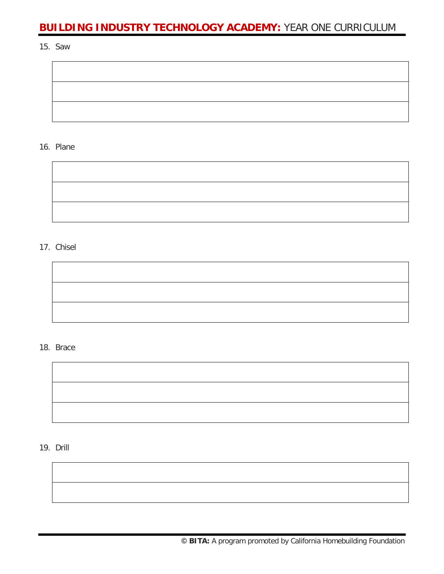15. Saw



#### 16. Plane



#### 17. Chisel

#### 18. Brace



19. Drill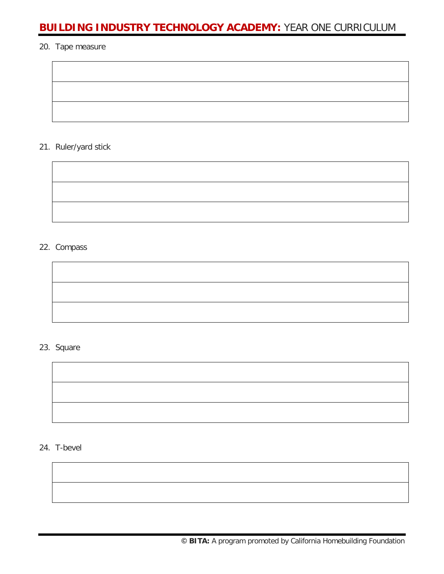#### 20. Tape measure

21. Ruler/yard stick

#### 22. Compass

## 23. Square



24. T-bevel